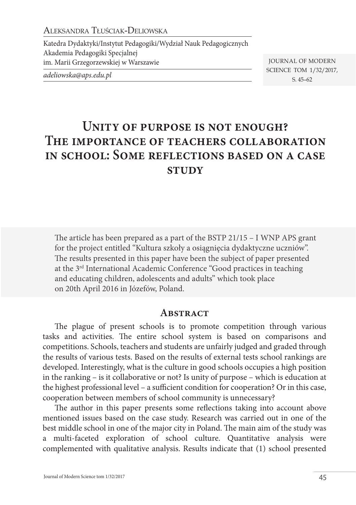Aleksandra Tłuściak-Deliowska

Katedra Dydaktyki/Instytut Pedagogiki/Wydział Nauk Pedagogicznych Akademia Pedagogiki Specjalnej im. Marii Grzegorzewskiej w Warszawie

*adeliowska@aps.edu.pl*

Journal of Modern Science tom 1/32/2017, s. 45–62

# **Unity of purpose is not enough? The importance of teachers collaboration in school: Some reflections based on a case study**

The article has been prepared as a part of the BSTP 21/15 – I WNP APS grant for the project entitled "Kultura szkoły a osiągnięcia dydaktyczne uczniów". The results presented in this paper have been the subject of paper presented at the 3rd International Academic Conference "Good practices in teaching and educating children, adolescents and adults" which took place on 20th April 2016 in Józefów, Poland.

#### **ABSTRACT**

The plague of present schools is to promote competition through various tasks and activities. The entire school system is based on comparisons and competitions. Schools, teachers and students are unfairly judged and graded through the results of various tests. Based on the results of external tests school rankings are developed. Interestingly, what is the culture in good schools occupies a high position in the ranking – is it collaborative or not? Is unity of purpose – which is education at the highest professional level – a sufficient condition for cooperation? Or in this case, cooperation between members of school community is unnecessary?

The author in this paper presents some reflections taking into account above mentioned issues based on the case study. Research was carried out in one of the best middle school in one of the major city in Poland. The main aim of the study was a multi-faceted exploration of school culture. Quantitative analysis were complemented with qualitative analysis. Results indicate that (1) school presented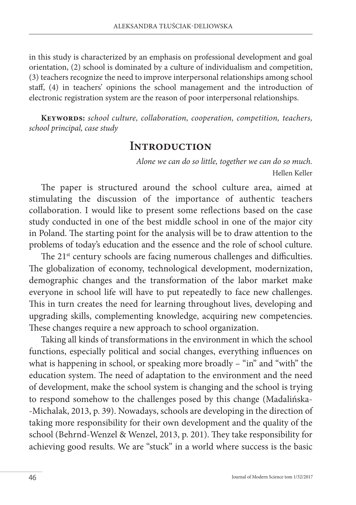in this study is characterized by an emphasis on professional development and goal orientation, (2) school is dominated by a culture of individualism and competition, (3) teachers recognize the need to improve interpersonal relationships among school staff, (4) in teachers' opinions the school management and the introduction of electronic registration system are the reason of poor interpersonal relationships.

**Keywords:** *school culture, collaboration, cooperation, competition, teachers, school principal, case study*

## **Introduction**

*Alone we can do so little, together we can do so much.* Hellen Keller

The paper is structured around the school culture area, aimed at stimulating the discussion of the importance of authentic teachers collaboration. I would like to present some reflections based on the case study conducted in one of the best middle school in one of the major city in Poland. The starting point for the analysis will be to draw attention to the problems of today's education and the essence and the role of school culture.

The 21<sup>st</sup> century schools are facing numerous challenges and difficulties. The globalization of economy, technological development, modernization, demographic changes and the transformation of the labor market make everyone in school life will have to put repeatedly to face new challenges. This in turn creates the need for learning throughout lives, developing and upgrading skills, complementing knowledge, acquiring new competencies. These changes require a new approach to school organization.

Taking all kinds of transformations in the environment in which the school functions, especially political and social changes, everything influences on what is happening in school, or speaking more broadly – "in" and "with" the education system. The need of adaptation to the environment and the need of development, make the school system is changing and the school is trying to respond somehow to the challenges posed by this change (Madalińska- -Michalak, 2013, p. 39). Nowadays, schools are developing in the direction of taking more responsibility for their own development and the quality of the school (Behrnd-Wenzel & Wenzel, 2013, p. 201). They take responsibility for achieving good results. We are "stuck" in a world where success is the basic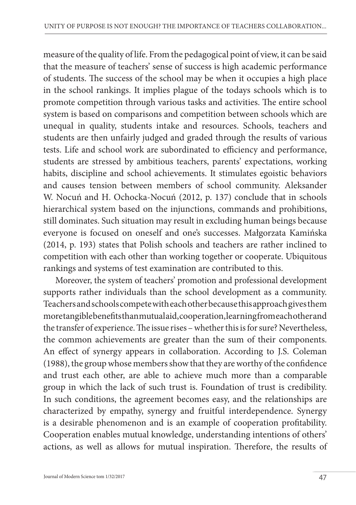measure of the quality of life. From the pedagogical point of view, it can be said that the measure of teachers' sense of success is high academic performance of students. The success of the school may be when it occupies a high place in the school rankings. It implies plague of the todays schools which is to promote competition through various tasks and activities. The entire school system is based on comparisons and competition between schools which are unequal in quality, students intake and resources. Schools, teachers and students are then unfairly judged and graded through the results of various tests. Life and school work are subordinated to efficiency and performance, students are stressed by ambitious teachers, parents' expectations, working habits, discipline and school achievements. It stimulates egoistic behaviors and causes tension between members of school community. Aleksander W. Nocuń and H. Ochocka-Nocuń (2012, p. 137) conclude that in schools hierarchical system based on the injunctions, commands and prohibitions, still dominates. Such situation may result in excluding human beings because everyone is focused on oneself and one's successes. Małgorzata Kamińska (2014, p. 193) states that Polish schools and teachers are rather inclined to competition with each other than working together or cooperate. Ubiquitous rankings and systems of test examination are contributed to this.

Moreover, the system of teachers' promotion and professional development supports rather individuals than the school development as a community. Teachers and schools compete with each other because this approach gives them more tangible benefits than mutual aid, cooperation, learning from each other and the transfer of experience. The issue rises – whether this is for sure? Nevertheless, the common achievements are greater than the sum of their components. An effect of synergy appears in collaboration. According to J.S. Coleman (1988), the group whose members show that they are worthy of the confidence and trust each other, are able to achieve much more than a comparable group in which the lack of such trust is. Foundation of trust is credibility. In such conditions, the agreement becomes easy, and the relationships are characterized by empathy, synergy and fruitful interdependence. Synergy is a desirable phenomenon and is an example of cooperation profitability. Cooperation enables mutual knowledge, understanding intentions of others' actions, as well as allows for mutual inspiration. Therefore, the results of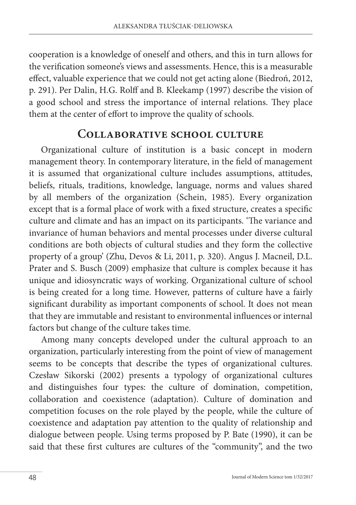cooperation is a knowledge of oneself and others, and this in turn allows for the verification someone's views and assessments. Hence, this is a measurable effect, valuable experience that we could not get acting alone (Biedroń, 2012, p. 291). Per Dalin, H.G. Rolff and B. Kleekamp (1997) describe the vision of a good school and stress the importance of internal relations. They place them at the center of effort to improve the quality of schools.

### **Collaborative school culture**

Organizational culture of institution is a basic concept in modern management theory. In contemporary literature, in the field of management it is assumed that organizational culture includes assumptions, attitudes, beliefs, rituals, traditions, knowledge, language, norms and values shared by all members of the organization (Schein, 1985). Every organization except that is a formal place of work with a fixed structure, creates a specific culture and climate and has an impact on its participants. 'The variance and invariance of human behaviors and mental processes under diverse cultural conditions are both objects of cultural studies and they form the collective property of a group' (Zhu, Devos & Li, 2011, p. 320). Angus J. Macneil, D.L. Prater and S. Busch (2009) emphasize that culture is complex because it has unique and idiosyncratic ways of working. Organizational culture of school is being created for a long time. However, patterns of culture have a fairly significant durability as important components of school. It does not mean that they are immutable and resistant to environmental influences or internal factors but change of the culture takes time.

Among many concepts developed under the cultural approach to an organization, particularly interesting from the point of view of management seems to be concepts that describe the types of organizational cultures. Czesław Sikorski (2002) presents a typology of organizational cultures and distinguishes four types: the culture of domination, competition, collaboration and coexistence (adaptation). Culture of domination and competition focuses on the role played by the people, while the culture of coexistence and adaptation pay attention to the quality of relationship and dialogue between people. Using terms proposed by P. Bate (1990), it can be said that these first cultures are cultures of the "community", and the two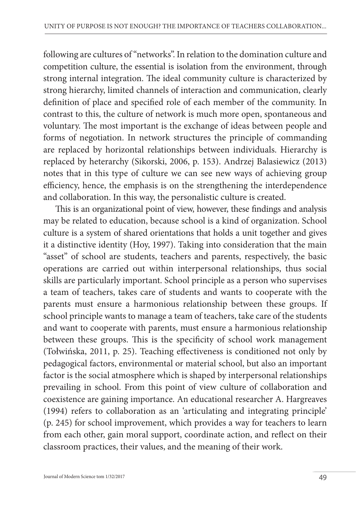following are cultures of "networks". In relation to the domination culture and competition culture, the essential is isolation from the environment, through strong internal integration. The ideal community culture is characterized by strong hierarchy, limited channels of interaction and communication, clearly definition of place and specified role of each member of the community. In contrast to this, the culture of network is much more open, spontaneous and voluntary. The most important is the exchange of ideas between people and forms of negotiation. In network structures the principle of commanding are replaced by horizontal relationships between individuals. Hierarchy is replaced by heterarchy (Sikorski, 2006, p. 153). Andrzej Balasiewicz (2013) notes that in this type of culture we can see new ways of achieving group efficiency, hence, the emphasis is on the strengthening the interdependence and collaboration. In this way, the personalistic culture is created.

This is an organizational point of view, however, these findings and analysis may be related to education, because school is a kind of organization. School culture is a system of shared orientations that holds a unit together and gives it a distinctive identity (Hoy, 1997). Taking into consideration that the main "asset" of school are students, teachers and parents, respectively, the basic operations are carried out within interpersonal relationships, thus social skills are particularly important. School principle as a person who supervises a team of teachers, takes care of students and wants to cooperate with the parents must ensure a harmonious relationship between these groups. If school principle wants to manage a team of teachers, take care of the students and want to cooperate with parents, must ensure a harmonious relationship between these groups. This is the specificity of school work management (Tołwińska, 2011, p. 25). Teaching effectiveness is conditioned not only by pedagogical factors, environmental or material school, but also an important factor is the social atmosphere which is shaped by interpersonal relationships prevailing in school. From this point of view culture of collaboration and coexistence are gaining importance. An educational researcher A. Hargreaves (1994) refers to collaboration as an 'articulating and integrating principle' (p. 245) for school improvement, which provides a way for teachers to learn from each other, gain moral support, coordinate action, and reflect on their classroom practices, their values, and the meaning of their work.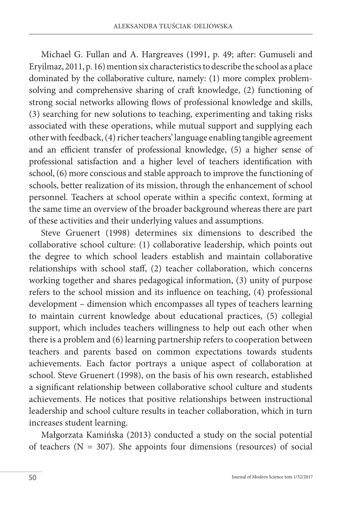Michael G. Fullan and A. Hargreaves (1991, p. 49; after: Gumuseli and Eryilmaz, 2011, p. 16) mention six characteristics to describe the school as a place dominated by the collaborative culture, namely: (1) more complex problemsolving and comprehensive sharing of craft knowledge, (2) functioning of strong social networks allowing flows of professional knowledge and skills, (3) searching for new solutions to teaching, experimenting and taking risks associated with these operations, while mutual support and supplying each other with feedback, (4) richer teachers' language enabling tangible agreement and an efficient transfer of professional knowledge, (5) a higher sense of professional satisfaction and a higher level of teachers identification with school, (6) more conscious and stable approach to improve the functioning of schools, better realization of its mission, through the enhancement of school personnel. Teachers at school operate within a specific context, forming at the same time an overview of the broader background whereas there are part of these activities and their underlying values and assumptions.

Steve Gruenert (1998) determines six dimensions to described the collaborative school culture: (1) collaborative leadership, which points out the degree to which school leaders establish and maintain collaborative relationships with school staff, (2) teacher collaboration, which concerns working together and shares pedagogical information, (3) unity of purpose refers to the school mission and its influence on teaching, (4) professional development – dimension which encompasses all types of teachers learning to maintain current knowledge about educational practices, (5) collegial support, which includes teachers willingness to help out each other when there is a problem and (6) learning partnership refers to cooperation between teachers and parents based on common expectations towards students achievements. Each factor portrays a unique aspect of collaboration at school. Steve Gruenert (1998), on the basis of his own research, established a significant relationship between collaborative school culture and students achievements. He notices that positive relationships between instructional leadership and school culture results in teacher collaboration, which in turn increases student learning.

Małgorzata Kamińska (2013) conducted a study on the social potential of teachers ( $N = 307$ ). She appoints four dimensions (resources) of social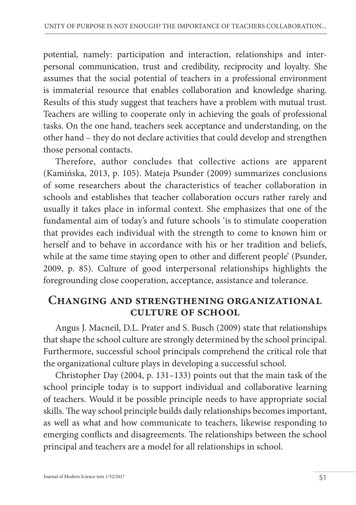potential, namely: participation and interaction, relationships and interpersonal communication, trust and credibility, reciprocity and loyalty. She assumes that the social potential of teachers in a professional environment is immaterial resource that enables collaboration and knowledge sharing. Results of this study suggest that teachers have a problem with mutual trust. Teachers are willing to cooperate only in achieving the goals of professional tasks. On the one hand, teachers seek acceptance and understanding, on the other hand – they do not declare activities that could develop and strengthen those personal contacts.

Therefore, author concludes that collective actions are apparent (Kamińska, 2013, p. 105). Mateja Psunder (2009) summarizes conclusions of some researchers about the characteristics of teacher collaboration in schools and establishes that teacher collaboration occurs rather rarely and usually it takes place in informal context. She emphasizes that one of the fundamental aim of today's and future schools 'is to stimulate cooperation that provides each individual with the strength to come to known him or herself and to behave in accordance with his or her tradition and beliefs, while at the same time staying open to other and different people' (Psunder, 2009, p. 85). Culture of good interpersonal relationships highlights the foregrounding close cooperation, acceptance, assistance and tolerance.

### **Changing and strengthening organizational culture of school**

Angus J. Macneil, D.L. Prater and S. Busch (2009) state that relationships that shape the school culture are strongly determined by the school principal. Furthermore, successful school principals comprehend the critical role that the organizational culture plays in developing a successful school.

Christopher Day (2004, p. 131–133) points out that the main task of the school principle today is to support individual and collaborative learning of teachers. Would it be possible principle needs to have appropriate social skills. The way school principle builds daily relationships becomes important, as well as what and how communicate to teachers, likewise responding to emerging conflicts and disagreements. The relationships between the school principal and teachers are a model for all relationships in school.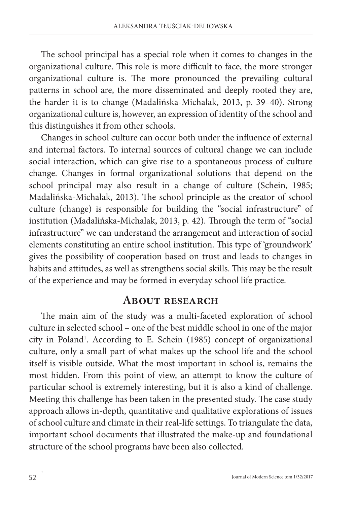The school principal has a special role when it comes to changes in the organizational culture. This role is more difficult to face, the more stronger organizational culture is. The more pronounced the prevailing cultural patterns in school are, the more disseminated and deeply rooted they are, the harder it is to change (Madalińska-Michalak, 2013, p. 39–40). Strong organizational culture is, however, an expression of identity of the school and this distinguishes it from other schools.

Changes in school culture can occur both under the influence of external and internal factors. To internal sources of cultural change we can include social interaction, which can give rise to a spontaneous process of culture change. Changes in formal organizational solutions that depend on the school principal may also result in a change of culture (Schein, 1985; Madalińska-Michalak, 2013). The school principle as the creator of school culture (change) is responsible for building the "social infrastructure" of institution (Madalińska-Michalak, 2013, p. 42). Through the term of "social infrastructure" we can understand the arrangement and interaction of social elements constituting an entire school institution. This type of 'groundwork' gives the possibility of cooperation based on trust and leads to changes in habits and attitudes, as well as strengthens social skills. This may be the result of the experience and may be formed in everyday school life practice.

### **About research**

The main aim of the study was a multi-faceted exploration of school culture in selected school – one of the best middle school in one of the major city in Poland<sup>1</sup>. According to E. Schein (1985) concept of organizational culture, only a small part of what makes up the school life and the school itself is visible outside. What the most important in school is, remains the most hidden. From this point of view, an attempt to know the culture of particular school is extremely interesting, but it is also a kind of challenge. Meeting this challenge has been taken in the presented study. The case study approach allows in-depth, quantitative and qualitative explorations of issues of school culture and climate in their real-life settings. To triangulate the data, important school documents that illustrated the make-up and foundational structure of the school programs have been also collected.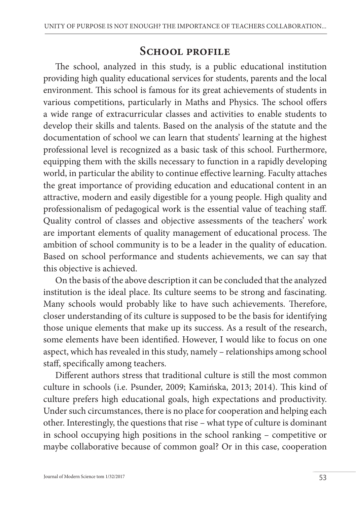# **School profile**

The school, analyzed in this study, is a public educational institution providing high quality educational services for students, parents and the local environment. This school is famous for its great achievements of students in various competitions, particularly in Maths and Physics. The school offers a wide range of extracurricular classes and activities to enable students to develop their skills and talents. Based on the analysis of the statute and the documentation of school we can learn that students' learning at the highest professional level is recognized as a basic task of this school. Furthermore, equipping them with the skills necessary to function in a rapidly developing world, in particular the ability to continue effective learning. Faculty attaches the great importance of providing education and educational content in an attractive, modern and easily digestible for a young people. High quality and professionalism of pedagogical work is the essential value of teaching staff. Quality control of classes and objective assessments of the teachers' work are important elements of quality management of educational process. The ambition of school community is to be a leader in the quality of education. Based on school performance and students achievements, we can say that this objective is achieved.

On the basis of the above description it can be concluded that the analyzed institution is the ideal place. Its culture seems to be strong and fascinating. Many schools would probably like to have such achievements. Therefore, closer understanding of its culture is supposed to be the basis for identifying those unique elements that make up its success. As a result of the research, some elements have been identified. However, I would like to focus on one aspect, which has revealed in this study, namely – relationships among school staff, specifically among teachers.

Different authors stress that traditional culture is still the most common culture in schools (i.e. Psunder, 2009; Kamińska, 2013; 2014). This kind of culture prefers high educational goals, high expectations and productivity. Under such circumstances, there is no place for cooperation and helping each other. Interestingly, the questions that rise – what type of culture is dominant in school occupying high positions in the school ranking – competitive or maybe collaborative because of common goal? Or in this case, cooperation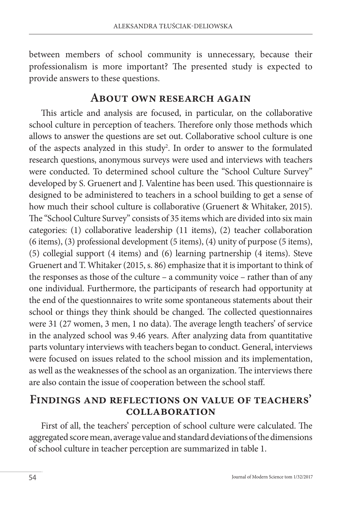between members of school community is unnecessary, because their professionalism is more important? The presented study is expected to provide answers to these questions.

### **About own research again**

This article and analysis are focused, in particular, on the collaborative school culture in perception of teachers. Therefore only those methods which allows to answer the questions are set out. Collaborative school culture is one of the aspects analyzed in this study<sup>2</sup>. In order to answer to the formulated research questions, anonymous surveys were used and interviews with teachers were conducted. To determined school culture the "School Culture Survey" developed by S. Gruenert and J. Valentine has been used. This questionnaire is designed to be administered to teachers in a school building to get a sense of how much their school culture is collaborative (Gruenert & Whitaker, 2015). The "School Culture Survey" consists of 35 items which are divided into six main categories: (1) collaborative leadership (11 items), (2) teacher collaboration (6 items), (3) professional development (5 items), (4) unity of purpose (5 items), (5) collegial support (4 items) and (6) learning partnership (4 items). Steve Gruenert and T. Whitaker (2015, s. 86) emphasize that it is important to think of the responses as those of the culture – a community voice – rather than of any one individual. Furthermore, the participants of research had opportunity at the end of the questionnaires to write some spontaneous statements about their school or things they think should be changed. The collected questionnaires were 31 (27 women, 3 men, 1 no data). The average length teachers' of service in the analyzed school was 9.46 years. After analyzing data from quantitative parts voluntary interviews with teachers began to conduct. General, interviews were focused on issues related to the school mission and its implementation, as well as the weaknesses of the school as an organization. The interviews there are also contain the issue of cooperation between the school staff.

### **Findings and reflections on value of teachers' collaboration**

First of all, the teachers' perception of school culture were calculated. The aggregated score mean, average value and standard deviations of the dimensions of school culture in teacher perception are summarized in table 1.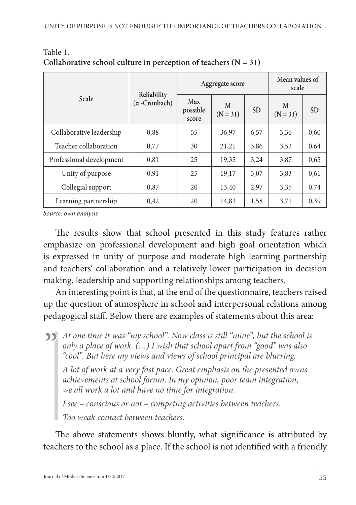| <b>Scale</b>             | Reliability<br>$(\alpha$ -Cronbach) | Aggregate score          |                 |           | Mean values of<br>scale |           |
|--------------------------|-------------------------------------|--------------------------|-----------------|-----------|-------------------------|-----------|
|                          |                                     | Max<br>possible<br>score | M<br>$(N = 31)$ | <b>SD</b> | M<br>$(N = 31)$         | <b>SD</b> |
| Collaborative leadership | 0.88                                | 55                       | 36,97           | 6,57      | 3,36                    | 0,60      |
| Teacher collaboration    | 0.77                                | 30                       | 21,21           | 3,86      | 3,53                    | 0,64      |
| Professional development | 0.81                                | 25                       | 19,35           | 3.24      | 3,87                    | 0,65      |
| Unity of purpose         | 0.91                                | 25                       | 19,17           | 3,07      | 3,83                    | 0,61      |
| Collegial support        | 0.87                                | 20                       | 13,40           | 2,97      | 3,35                    | 0,74      |
| Learning partnership     | 0,42                                | 20                       | 14,83           | 1,58      | 3,71                    | 0,39      |

Table 1. Collaborative school culture in perception of teachers  $(N = 31)$ 

*Source: own analysis*

The results show that school presented in this study features rather emphasize on professional development and high goal orientation which is expressed in unity of purpose and moderate high learning partnership and teachers' collaboration and a relatively lower participation in decision making, leadership and supporting relationships among teachers.

An interesting point is that, at the end of the questionnaire, teachers raised up the question of atmosphere in school and interpersonal relations among pedagogical staff. Below there are examples of statements about this area:

**A**t one time it was "my school". Now class is still "mine", but the school is only a place of work. (...) I wish that school apart from "good" was also "cool". But here my views and views of school principal are blurring. *only a place of work. (…) I wish that school apart from "good" was also "cool". But here my views and views of school principal are blurring.* 

*A lot of work at a very fast pace. Great emphasis on the presented owns achievements at school forum. In my opinion, poor team integration, we all work a lot and have no time for integration.* 

*I see – conscious or not – competing activities between teachers.* 

*Too weak contact between teachers.*

The above statements shows bluntly, what significance is attributed by teachers to the school as a place. If the school is not identified with a friendly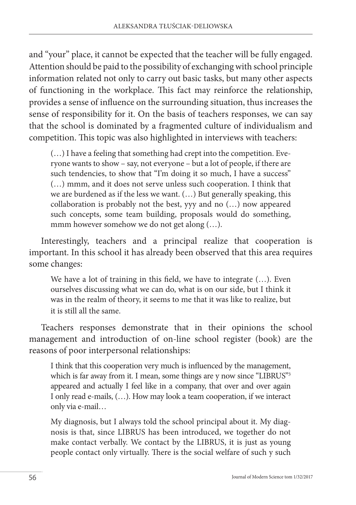and "your" place, it cannot be expected that the teacher will be fully engaged. Attention should be paid to the possibility of exchanging with school principle information related not only to carry out basic tasks, but many other aspects of functioning in the workplace. This fact may reinforce the relationship, provides a sense of influence on the surrounding situation, thus increases the sense of responsibility for it. On the basis of teachers responses, we can say that the school is dominated by a fragmented culture of individualism and competition. This topic was also highlighted in interviews with teachers:

(…) I have a feeling that something had crept into the competition. Everyone wants to show – say, not everyone – but a lot of people, if there are such tendencies, to show that "I'm doing it so much, I have a success" (…) mmm, and it does not serve unless such cooperation. I think that we are burdened as if the less we want. (…) But generally speaking, this collaboration is probably not the best, yyy and no (…) now appeared such concepts, some team building, proposals would do something, mmm however somehow we do not get along  $(...)$ .

Interestingly, teachers and a principal realize that cooperation is important. In this school it has already been observed that this area requires some changes:

We have a lot of training in this field, we have to integrate (…). Even ourselves discussing what we can do, what is on our side, but I think it was in the realm of theory, it seems to me that it was like to realize, but it is still all the same.

Teachers responses demonstrate that in their opinions the school management and introduction of on-line school register (book) are the reasons of poor interpersonal relationships:

I think that this cooperation very much is influenced by the management, which is far away from it. I mean, some things are y now since "LIBRUS"<sup>3</sup> appeared and actually I feel like in a company, that over and over again I only read e-mails, (…). How may look a team cooperation, if we interact only via e-mail…

My diagnosis, but I always told the school principal about it. My diagnosis is that, since LIBRUS has been introduced, we together do not make contact verbally. We contact by the LIBRUS, it is just as young people contact only virtually. There is the social welfare of such y such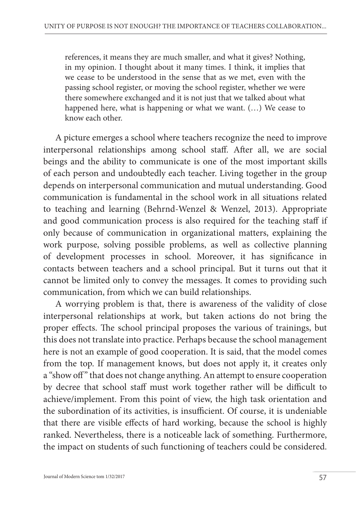references, it means they are much smaller, and what it gives? Nothing, in my opinion. I thought about it many times. I think, it implies that we cease to be understood in the sense that as we met, even with the passing school register, or moving the school register, whether we were there somewhere exchanged and it is not just that we talked about what happened here, what is happening or what we want. (…) We cease to know each other.

A picture emerges a school where teachers recognize the need to improve interpersonal relationships among school staff. After all, we are social beings and the ability to communicate is one of the most important skills of each person and undoubtedly each teacher. Living together in the group depends on interpersonal communication and mutual understanding. Good communication is fundamental in the school work in all situations related to teaching and learning (Behrnd-Wenzel & Wenzel, 2013). Appropriate and good communication process is also required for the teaching staff if only because of communication in organizational matters, explaining the work purpose, solving possible problems, as well as collective planning of development processes in school. Moreover, it has significance in contacts between teachers and a school principal. But it turns out that it cannot be limited only to convey the messages. It comes to providing such communication, from which we can build relationships.

A worrying problem is that, there is awareness of the validity of close interpersonal relationships at work, but taken actions do not bring the proper effects. The school principal proposes the various of trainings, but this does not translate into practice. Perhaps because the school management here is not an example of good cooperation. It is said, that the model comes from the top. If management knows, but does not apply it, it creates only a "show off" that does not change anything. An attempt to ensure cooperation by decree that school staff must work together rather will be difficult to achieve/implement. From this point of view, the high task orientation and the subordination of its activities, is insufficient. Of course, it is undeniable that there are visible effects of hard working, because the school is highly ranked. Nevertheless, there is a noticeable lack of something. Furthermore, the impact on students of such functioning of teachers could be considered.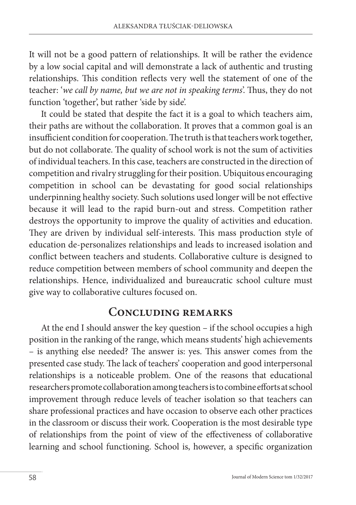It will not be a good pattern of relationships. It will be rather the evidence by a low social capital and will demonstrate a lack of authentic and trusting relationships. This condition reflects very well the statement of one of the teacher: '*we call by name, but we are not in speaking terms*'. Thus, they do not function 'together', but rather 'side by side'.

It could be stated that despite the fact it is a goal to which teachers aim, their paths are without the collaboration. It proves that a common goal is an insufficient condition for cooperation. The truth is that teachers work together, but do not collaborate. The quality of school work is not the sum of activities of individual teachers. In this case, teachers are constructed in the direction of competition and rivalry struggling for their position. Ubiquitous encouraging competition in school can be devastating for good social relationships underpinning healthy society. Such solutions used longer will be not effective because it will lead to the rapid burn-out and stress. Competition rather destroys the opportunity to improve the quality of activities and education. They are driven by individual self-interests. This mass production style of education de-personalizes relationships and leads to increased isolation and conflict between teachers and students. Collaborative culture is designed to reduce competition between members of school community and deepen the relationships. Hence, individualized and bureaucratic school culture must give way to collaborative cultures focused on.

### **Concluding remarks**

At the end I should answer the key question – if the school occupies a high position in the ranking of the range, which means students' high achievements – is anything else needed? The answer is: yes. This answer comes from the presented case study. The lack of teachers' cooperation and good interpersonal relationships is a noticeable problem. One of the reasons that educational researchers promote collaboration among teachers is to combine efforts at school improvement through reduce levels of teacher isolation so that teachers can share professional practices and have occasion to observe each other practices in the classroom or discuss their work. Cooperation is the most desirable type of relationships from the point of view of the effectiveness of collaborative learning and school functioning. School is, however, a specific organization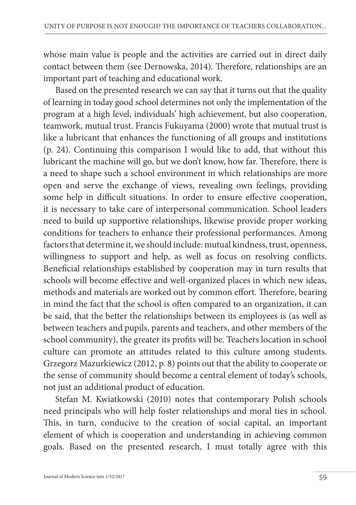whose main value is people and the activities are carried out in direct daily contact between them (see Dernowska, 2014). Therefore, relationships are an important part of teaching and educational work.

Based on the presented research we can say that it turns out that the quality of learning in today good school determines not only the implementation of the program at a high level, individuals' high achievement, but also cooperation, teamwork, mutual trust. Francis Fukuyama (2000) wrote that mutual trust is like a lubricant that enhances the functioning of all groups and institutions (p. 24). Continuing this comparison I would like to add, that without this lubricant the machine will go, but we don't know, how far. Therefore, there is a need to shape such a school environment in which relationships are more open and serve the exchange of views, revealing own feelings, providing some help in difficult situations. In order to ensure effective cooperation, it is necessary to take care of interpersonal communication. School leaders need to build up supportive relationships, likewise provide proper working conditions for teachers to enhance their professional performances. Among factors that determine it, we should include: mutual kindness, trust, openness, willingness to support and help, as well as focus on resolving conflicts. Beneficial relationships established by cooperation may in turn results that schools will become effective and well-organized places in which new ideas, methods and materials are worked out by common effort. Therefore, bearing in mind the fact that the school is often compared to an organization, it can be said, that the better the relationships between its employees is (as well as between teachers and pupils, parents and teachers, and other members of the school community), the greater its profits will be. Teachers location in school culture can promote an attitudes related to this culture among students. Grzegorz Mazurkiewicz (2012, p. 8) points out that the ability to cooperate or the sense of community should become a central element of today's schools, not just an additional product of education.

Stefan M. Kwiatkowski (2010) notes that contemporary Polish schools need principals who will help foster relationships and moral ties in school. This, in turn, conducive to the creation of social capital, an important element of which is cooperation and understanding in achieving common goals. Based on the presented research, I must totally agree with this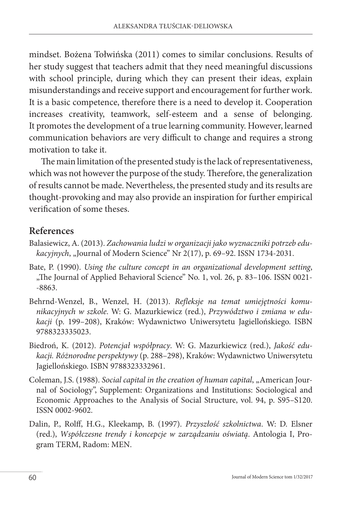mindset. Bożena Tołwińska (2011) comes to similar conclusions. Results of her study suggest that teachers admit that they need meaningful discussions with school principle, during which they can present their ideas, explain misunderstandings and receive support and encouragement for further work. It is a basic competence, therefore there is a need to develop it. Cooperation increases creativity, teamwork, self-esteem and a sense of belonging. It promotes the development of a true learning community. However, learned communication behaviors are very difficult to change and requires a strong motivation to take it.

The main limitation of the presented study is the lack of representativeness, which was not however the purpose of the study. Therefore, the generalization of results cannot be made. Nevertheless, the presented study and its results are thought-provoking and may also provide an inspiration for further empirical verification of some theses.

### **References**

- Balasiewicz, A. (2013). *Zachowania ludzi w organizacji jako wyznaczniki potrzeb edukacyjnych*, "Journal of Modern Science" Nr 2(17), p. 69–92. ISSN 1734-2031.
- Bate, P. (1990). *Using the culture concept in an organizational development setting*, "The Journal of Applied Behavioral Science" No. 1, vol. 26, p. 83-106. ISSN 0021--8863.
- Behrnd-Wenzel, B., Wenzel, H. (2013). *Refleksje na temat umiejętności komunikacyjnych w szkole*. W: G. Mazurkiewicz (red.), *Przywództwo i zmiana w edukacji* (p. 199–208), Kraków: Wydawnictwo Uniwersytetu Jagiellońskiego. ISBN 9788323335023.
- Biedroń, K. (2012). *Potencjał współpracy*. W: G. Mazurkiewicz (red.), *Jakość edukacji. Różnorodne perspektywy* (p. 288–298), Kraków: Wydawnictwo Uniwersytetu Jagiellońskiego. ISBN 9788323332961.
- Coleman, J.S. (1988). *Social capital in the creation of human capital*, "American Journal of Sociology", Supplement: Organizations and Institutions: Sociological and Economic Approaches to the Analysis of Social Structure, vol. 94, p. S95–S120. ISSN 0002-9602.
- Dalin, P., Rolff, H.G., Kleekamp, B. (1997). *Przyszłość szkolnictwa*. W: D. Elsner (red.), *Współczesne trendy i koncepcje w zarządzaniu oświatą*. Antologia I, Program TERM, Radom: MEN.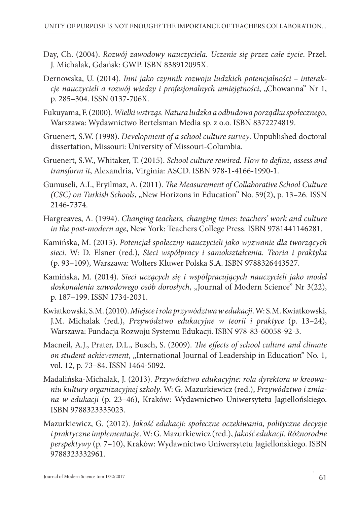- Day, Ch. (2004). *Rozwój zawodowy nauczyciela. Uczenie się przez całe życie*. Przeł. J. Michalak, Gdańsk: GWP. ISBN 838912095X.
- Dernowska, U. (2014). *Inni jako czynnik rozwoju ludzkich potencjalności interakcje nauczycieli a rozwój wiedzy i profesjonalnych umiejętności*, "Chowanna" Nr 1, p. 285–304. ISSN 0137-706X.
- Fukuyama, F. (2000). *Wielki wstrząs. Natura ludzka a odbudowa porządku społecznego*, Warszawa: Wydawnictwo Bertelsman Media sp. z o.o. ISBN 8372274819.
- Gruenert, S.W. (1998). *Development of a school culture survey*. Unpublished doctoral dissertation, Missouri: University of Missouri-Columbia.
- Gruenert, S.W., Whitaker, T. (2015). *School culture rewired. How to define, assess and transform it*, Alexandria, Virginia: ASCD. ISBN 978-1-4166-1990-1.
- Gumuseli, A.I., Eryilmaz, A. (2011). *The Measurement of Collaborative School Culture (CSC) on Turkish Schools, "New Horizons in Education*" No. 59(2), p. 13–26. ISSN 2146-7374.
- Hargreaves, A. (1994). *Changing teachers, changing times: teachers' work and culture in the post-modern age*, New York: Teachers College Press. ISBN 9781441146281.
- Kamińska, M. (2013). *Potencjał społeczny nauczycieli jako wyzwanie dla tworzących sieci*. W: D. Elsner (red.), *Sieci współpracy i samokształcenia. Teoria i praktyka* (p. 93–109), Warszawa: Wolters Kluwer Polska S.A. ISBN 9788326443527.
- Kamińska, M. (2014). *Sieci uczących się i współpracujących nauczycieli jako model doskonalenia zawodowego osób dorosłych*, "Journal of Modern Science" Nr 3(22), p. 187–199. ISSN 1734-2031.
- Kwiatkowski, S.M. (2010). *Miejsce i rola przywództwa w edukacji*. W: S.M. Kwiatkowski, J.M. Michalak (red.), *Przywództwo edukacyjne w teorii i praktyce* (p. 13–24), Warszawa: Fundacja Rozwoju Systemu Edukacji. ISBN 978-83-60058-92-3.
- Macneil, A.J., Prater, D.L., Busch, S. (2009). *The effects of school culture and climate on student achievement*, "International Journal of Leadership in Education" No. 1, vol. 12, p. 73–84. ISSN 1464-5092.
- Madalińska-Michalak, J. (2013). *Przywództwo edukacyjne: rola dyrektora w kreowaniu kultury organizacyjnej szkoły*. W: G. Mazurkiewicz (red.), *Przywództwo i zmiana w edukacji* (p. 23–46), Kraków: Wydawnictwo Uniwersytetu Jagiellońskiego. ISBN 9788323335023.
- Mazurkiewicz, G. (2012). *Jakość edukacji: społeczne oczekiwania, polityczne decyzje i praktyczne implementacje*. W: G. Mazurkiewicz (red.), *Jakość edukacji. Różnorodne perspektywy* (p. 7–10), Kraków: Wydawnictwo Uniwersytetu Jagiellońskiego. ISBN 9788323332961.